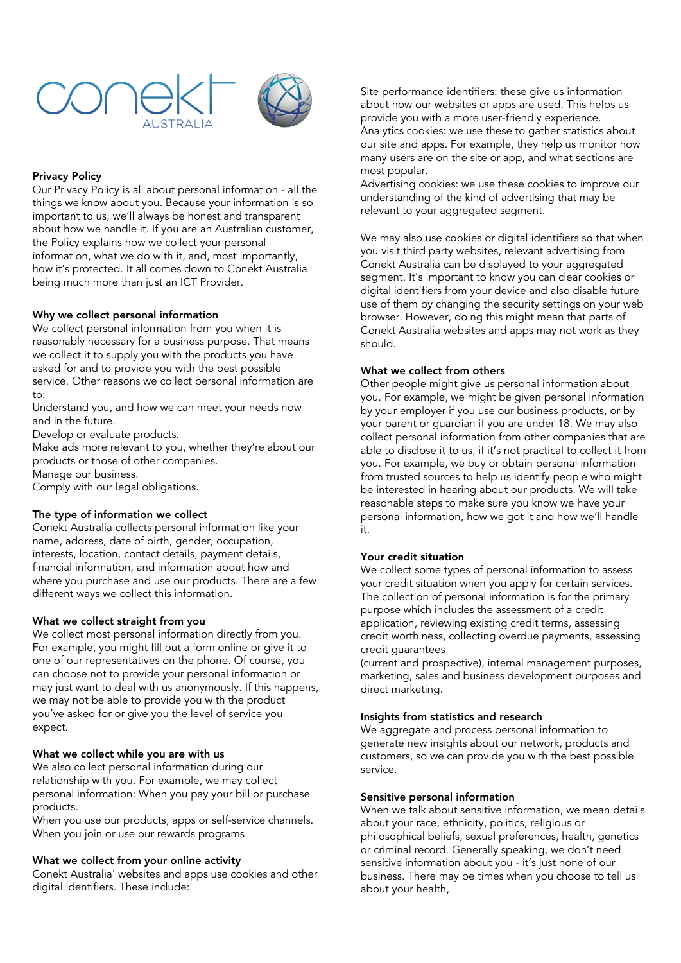



# Privacy Policy

Our Privacy Policy is all about personal information - all the things we know about you. Because your information is so important to us, we'll always be honest and transparent about how we handle it. If you are an Australian customer, the Policy explains how we collect your personal information, what we do with it, and, most importantly, how it's protected. It all comes down to Conekt Australia being much more than just an ICT Provider.

# Why we collect personal information

We collect personal information from you when it is reasonably necessary for a business purpose. That means we collect it to supply you with the products you have asked for and to provide you with the best possible service. Other reasons we collect personal information are to:

Understand you, and how we can meet your needs now and in the future.

Develop or evaluate products.

Make ads more relevant to you, whether they're about our products or those of other companies.

Manage our business.

Comply with our legal obligations.

# The type of information we collect

Conekt Australia collects personal information like your name, address, date of birth, gender, occupation, interests, location, contact details, payment details, financial information, and information about how and where you purchase and use our products. There are a few different ways we collect this information.

## What we collect straight from you

We collect most personal information directly from you. For example, you might fill out a form online or give it to one of our representatives on the phone. Of course, you can choose not to provide your personal information or may just want to deal with us anonymously. If this happens, we may not be able to provide you with the product you've asked for or give you the level of service you expect.

## What we collect while you are with us

We also collect personal information during our relationship with you. For example, we may collect personal information: When you pay your bill or purchase products.

When you use our products, apps or self-service channels. When you join or use our rewards programs.

## What we collect from your online activity

Conekt Australia' websites and apps use cookies and other digital identifiers. These include:

Site performance identifiers: these give us information about how our websites or apps are used. This helps us provide you with a more user-friendly experience. Analytics cookies: we use these to gather statistics about our site and apps. For example, they help us monitor how many users are on the site or app, and what sections are most popular.

Advertising cookies: we use these cookies to improve our understanding of the kind of advertising that may be relevant to your aggregated segment.

We may also use cookies or digital identifiers so that when you visit third party websites, relevant advertising from Conekt Australia can be displayed to your aggregated segment. It's important to know you can clear cookies or digital identifiers from your device and also disable future use of them by changing the security settings on your web browser. However, doing this might mean that parts of Conekt Australia websites and apps may not work as they should.

# What we collect from others

Other people might give us personal information about you. For example, we might be given personal information by your employer if you use our business products, or by your parent or guardian if you are under 18. We may also collect personal information from other companies that are able to disclose it to us, if it's not practical to collect it from you. For example, we buy or obtain personal information from trusted sources to help us identify people who might be interested in hearing about our products. We will take reasonable steps to make sure you know we have your personal information, how we got it and how we'll handle it.

# Your credit situation

We collect some types of personal information to assess your credit situation when you apply for certain services. The collection of personal information is for the primary purpose which includes the assessment of a credit application, reviewing existing credit terms, assessing credit worthiness, collecting overdue payments, assessing credit guarantees

(current and prospective), internal management purposes, marketing, sales and business development purposes and direct marketing.

## Insights from statistics and research

We aggregate and process personal information to generate new insights about our network, products and customers, so we can provide you with the best possible service.

# Sensitive personal information

When we talk about sensitive information, we mean details about your race, ethnicity, politics, religious or philosophical beliefs, sexual preferences, health, genetics or criminal record. Generally speaking, we don't need sensitive information about you - it's just none of our business. There may be times when you choose to tell us about your health,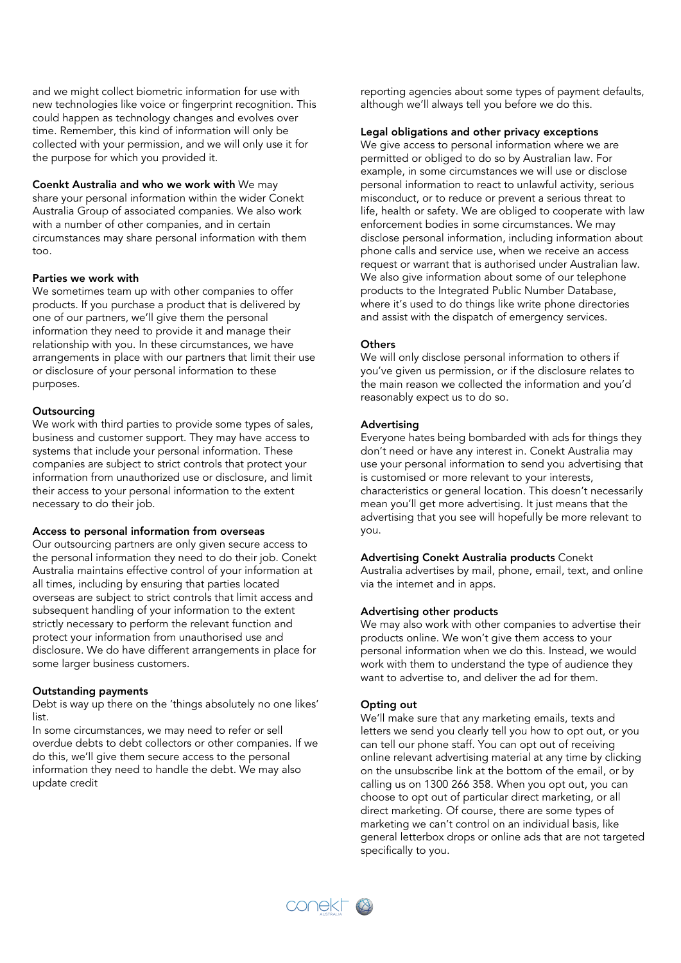and we might collect biometric information for use with new technologies like voice or fingerprint recognition. This could happen as technology changes and evolves over time. Remember, this kind of information will only be collected with your permission, and we will only use it for the purpose for which you provided it.

Coenkt Australia and who we work with We may share your personal information within the wider Conekt Australia Group of associated companies. We also work with a number of other companies, and in certain circumstances may share personal information with them too.

### Parties we work with

We sometimes team up with other companies to offer products. If you purchase a product that is delivered by one of our partners, we'll give them the personal information they need to provide it and manage their relationship with you. In these circumstances, we have arrangements in place with our partners that limit their use or disclosure of your personal information to these purposes.

### **Outsourcing**

We work with third parties to provide some types of sales, business and customer support. They may have access to systems that include your personal information. These companies are subject to strict controls that protect your information from unauthorized use or disclosure, and limit their access to your personal information to the extent necessary to do their job.

### Access to personal information from overseas

Our outsourcing partners are only given secure access to the personal information they need to do their job. Conekt Australia maintains effective control of your information at all times, including by ensuring that parties located overseas are subject to strict controls that limit access and subsequent handling of your information to the extent strictly necessary to perform the relevant function and protect your information from unauthorised use and disclosure. We do have different arrangements in place for some larger business customers.

## Outstanding payments

Debt is way up there on the 'things absolutely no one likes' list.

In some circumstances, we may need to refer or sell overdue debts to debt collectors or other companies. If we do this, we'll give them secure access to the personal information they need to handle the debt. We may also update credit

reporting agencies about some types of payment defaults, although we'll always tell you before we do this.

# Legal obligations and other privacy exceptions

We give access to personal information where we are permitted or obliged to do so by Australian law. For example, in some circumstances we will use or disclose personal information to react to unlawful activity, serious misconduct, or to reduce or prevent a serious threat to life, health or safety. We are obliged to cooperate with law enforcement bodies in some circumstances. We may disclose personal information, including information about phone calls and service use, when we receive an access request or warrant that is authorised under Australian law. We also give information about some of our telephone products to the Integrated Public Number Database, where it's used to do things like write phone directories and assist with the dispatch of emergency services.

### **Others**

We will only disclose personal information to others if you've given us permission, or if the disclosure relates to the main reason we collected the information and you'd reasonably expect us to do so.

### Advertising

Everyone hates being bombarded with ads for things they don't need or have any interest in. Conekt Australia may use your personal information to send you advertising that is customised or more relevant to your interests, characteristics or general location. This doesn't necessarily mean you'll get more advertising. It just means that the advertising that you see will hopefully be more relevant to you.

# Advertising Conekt Australia products Conekt

Australia advertises by mail, phone, email, text, and online via the internet and in apps.

# Advertising other products

We may also work with other companies to advertise their products online. We won't give them access to your personal information when we do this. Instead, we would work with them to understand the type of audience they want to advertise to, and deliver the ad for them.

## Opting out

We'll make sure that any marketing emails, texts and letters we send you clearly tell you how to opt out, or you can tell our phone staff. You can opt out of receiving online relevant advertising material at any time by clicking on the unsubscribe link at the bottom of the email, or by calling us on 1300 266 358. When you opt out, you can choose to opt out of particular direct marketing, or all direct marketing. Of course, there are some types of marketing we can't control on an individual basis, like general letterbox drops or online ads that are not targeted specifically to you.